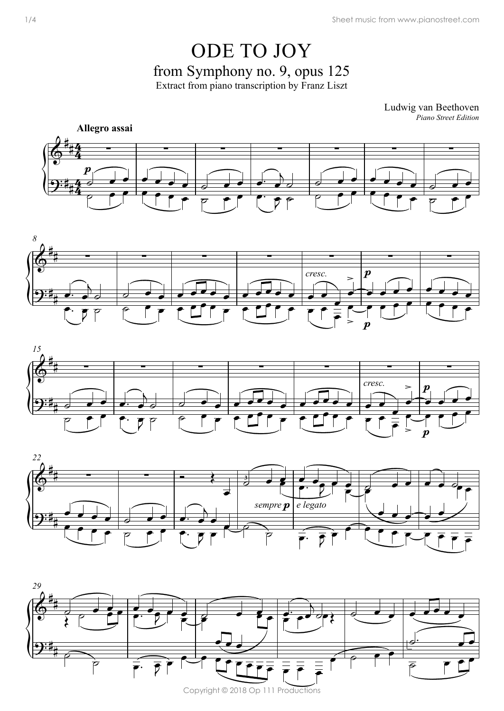# ODE TO JOY from Symphony no. 9, opus 125

Extract from piano transcription by Franz Liszt

Ludwig van Beethoven *Piano Street Edition*









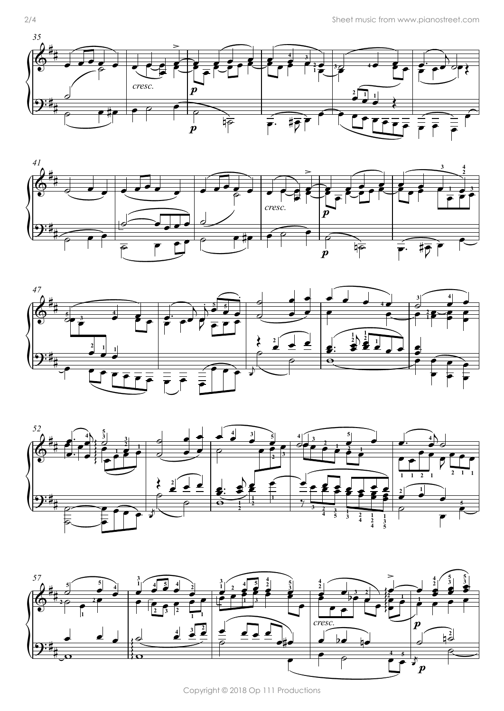









Copyright © 2018 Op 111 Productions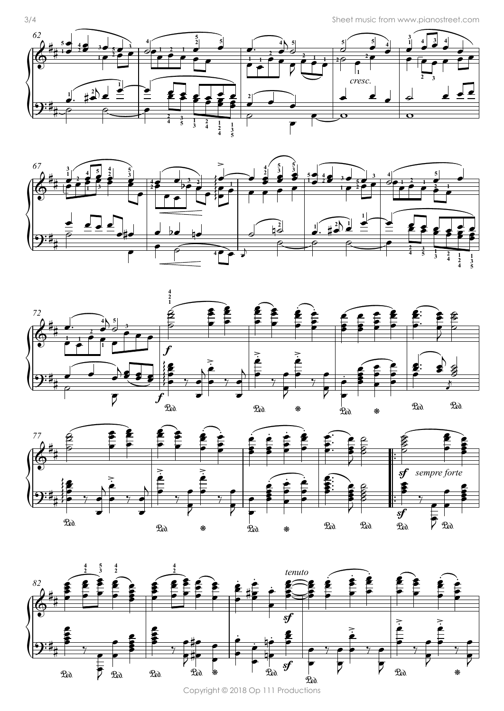3/4 Sheet music from www.pianostreet.com











Copyright © 2018 Op 111 Productions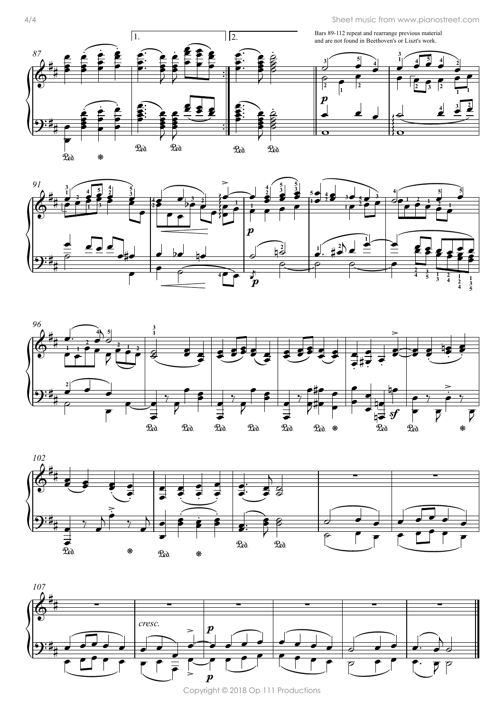4/4 Sheet music from www.pianostreet.com











Copyright © 2018 Op 111 Productions